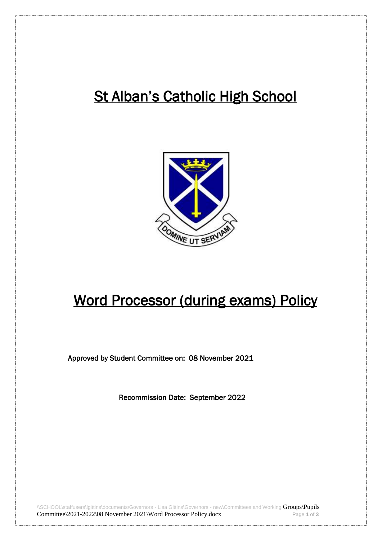## **St Alban's Catholic High School**



## Word Processor (during exams) Policy

Approved by Student Committee on: 08 November 2021

Recommission Date: September 2022

\\SCHOOL\staffusers\lgittins\documents\Governors - Lisa Gittins\Governors - new\Committees and Working Groups\Pupils Committee\2021-2022\08 November 2021\Word Processor Policy.docx Page 1 of 3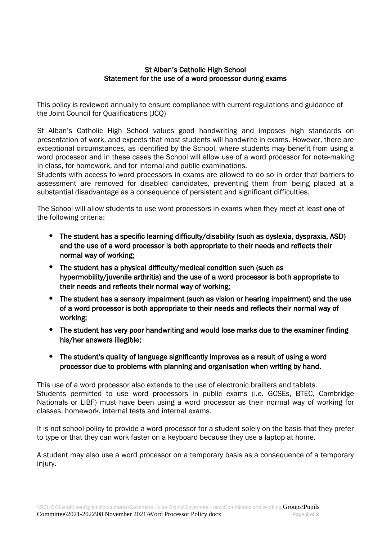## St Alban's Catholic High School Statement for the use of a word processor during exams

This policy is reviewed annually to ensure compliance with current regulations and guidance of the Joint Council for Qualifications (JCQ)

St Alban's Catholic High School values good handwriting and imposes high standards on presentation of work, and expects that most students will handwrite in exams. However, there are exceptional circumstances, as identified by the School, where students may benefit from using a word processor and in these cases the School will allow use of a word processor for note-making in class, for homework, and for internal and public examinations.

Students with access to word processors in exams are allowed to do so in order that barriers to assessment are removed for disabled candidates, preventing them from being placed at a substantial disadvantage as a consequence of persistent and significant difficulties.

The School will allow students to use word processors in exams when they meet at least one of the following criteria:

- The student has a specific learning difficulty/disability (such as dyslexia, dyspraxia, ASD) and the use of a word processor is both appropriate to their needs and reflects their normal way of working;
- The student has a physical difficulty/medical condition such (such as hypermobility/juvenile arthritis) and the use of a word processor is both appropriate to their needs and reflects their normal way of working;
- The student has a sensory impairment (such as vision or hearing impairment) and the use of a word processor is both appropriate to their needs and reflects their normal way of working;
- The student has very poor handwriting and would lose marks due to the examiner finding his/her answers illegible;
- The student's quality of language significantly improves as a result of using a word processor due to problems with planning and organisation when writing by hand.

This use of a word processor also extends to the use of electronic braillers and tablets. Students permitted to use word processors in public exams (i.e. GCSEs, BTEC, Cambridge Nationals or LIBF) must have been using a word processor as their normal way of working for classes, homework, internal tests and internal exams.

It is not school policy to provide a word processor for a student solely on the basis that they prefer to type or that they can work faster on a keyboard because they use a laptop at home.

A student may also use a word processor on a temporary basis as a consequence of a temporary injury.